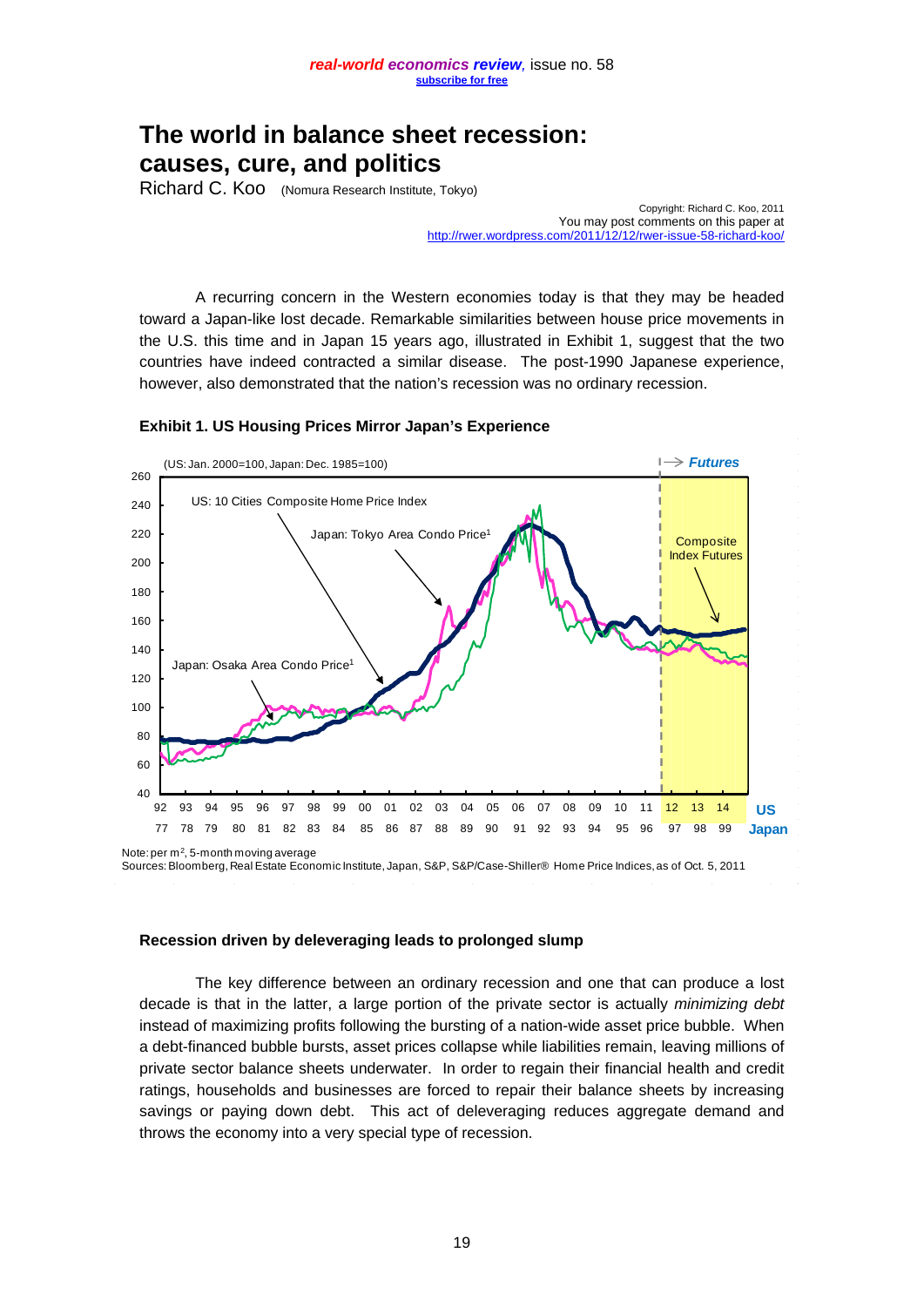# **The world in balance sheet recession: causes, cure, and politics**

Richard C. Koo (Nomura Research Institute, Tokyo)

Copyright: Richard C. Koo, 2011 You may post comments on this paper at <http://rwer.wordpress.com/2011/12/12/rwer-issue-58-richard-koo/>

A recurring concern in the Western economies today is that they may be headed toward a Japan-like lost decade. Remarkable similarities between house price movements in the U.S. this time and in Japan 15 years ago, illustrated in Exhibit 1, suggest that the two countries have indeed contracted a similar disease. The post-1990 Japanese experience, however, also demonstrated that the nation's recession was no ordinary recession.

### **Exhibit 1. US Housing Prices Mirror Japan's Experience**



Sources: Bloomberg, Real Estate Economic Institute, Japan, S&P, S&P/Case-Shiller® Home Price Indices, as of Oct. 5, 2011

### **Recession driven by deleveraging leads to prolonged slump**

The key difference between an ordinary recession and one that can produce a lost decade is that in the latter, a large portion of the private sector is actually *minimizing debt* instead of maximizing profits following the bursting of a nation-wide asset price bubble. When a debt-financed bubble bursts, asset prices collapse while liabilities remain, leaving millions of private sector balance sheets underwater. In order to regain their financial health and credit ratings, households and businesses are forced to repair their balance sheets by increasing savings or paying down debt. This act of deleveraging reduces aggregate demand and throws the economy into a very special type of recession.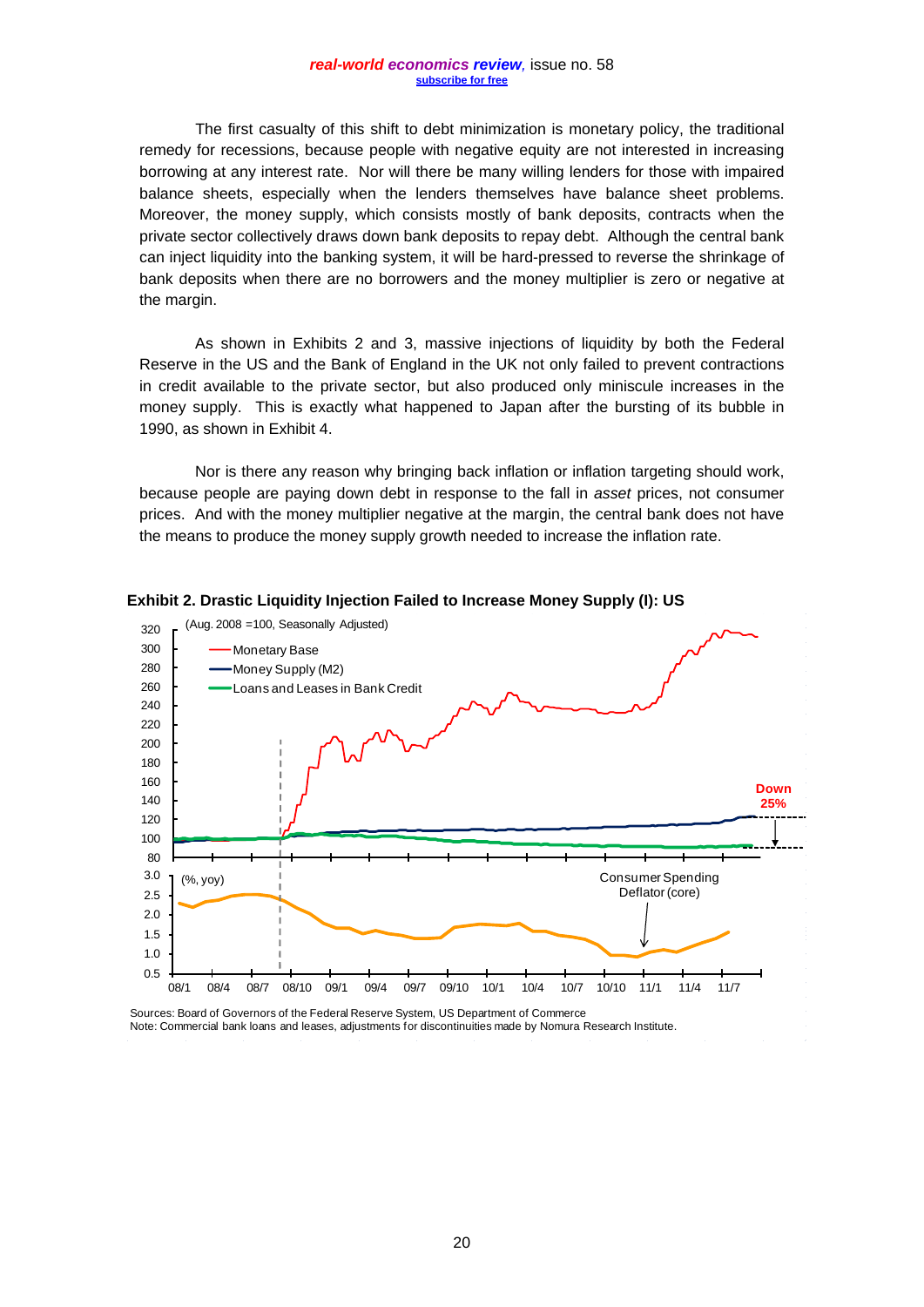The first casualty of this shift to debt minimization is monetary policy, the traditional remedy for recessions, because people with negative equity are not interested in increasing borrowing at any interest rate. Nor will there be many willing lenders for those with impaired balance sheets, especially when the lenders themselves have balance sheet problems. Moreover, the money supply, which consists mostly of bank deposits, contracts when the private sector collectively draws down bank deposits to repay debt. Although the central bank can inject liquidity into the banking system, it will be hard-pressed to reverse the shrinkage of bank deposits when there are no borrowers and the money multiplier is zero or negative at the margin.

As shown in Exhibits 2 and 3, massive injections of liquidity by both the Federal Reserve in the US and the Bank of England in the UK not only failed to prevent contractions in credit available to the private sector, but also produced only miniscule increases in the money supply. This is exactly what happened to Japan after the bursting of its bubble in 1990, as shown in Exhibit 4.

Nor is there any reason why bringing back inflation or inflation targeting should work, because people are paying down debt in response to the fall in *asset* prices, not consumer prices. And with the money multiplier negative at the margin, the central bank does not have the means to produce the money supply growth needed to increase the inflation rate.





Sources: Board of Governors of the Federal Reserve System, US Department of Commerce Note: Commercial bank loans and leases, adjustments for discontinuities made by Nomura Research Institute.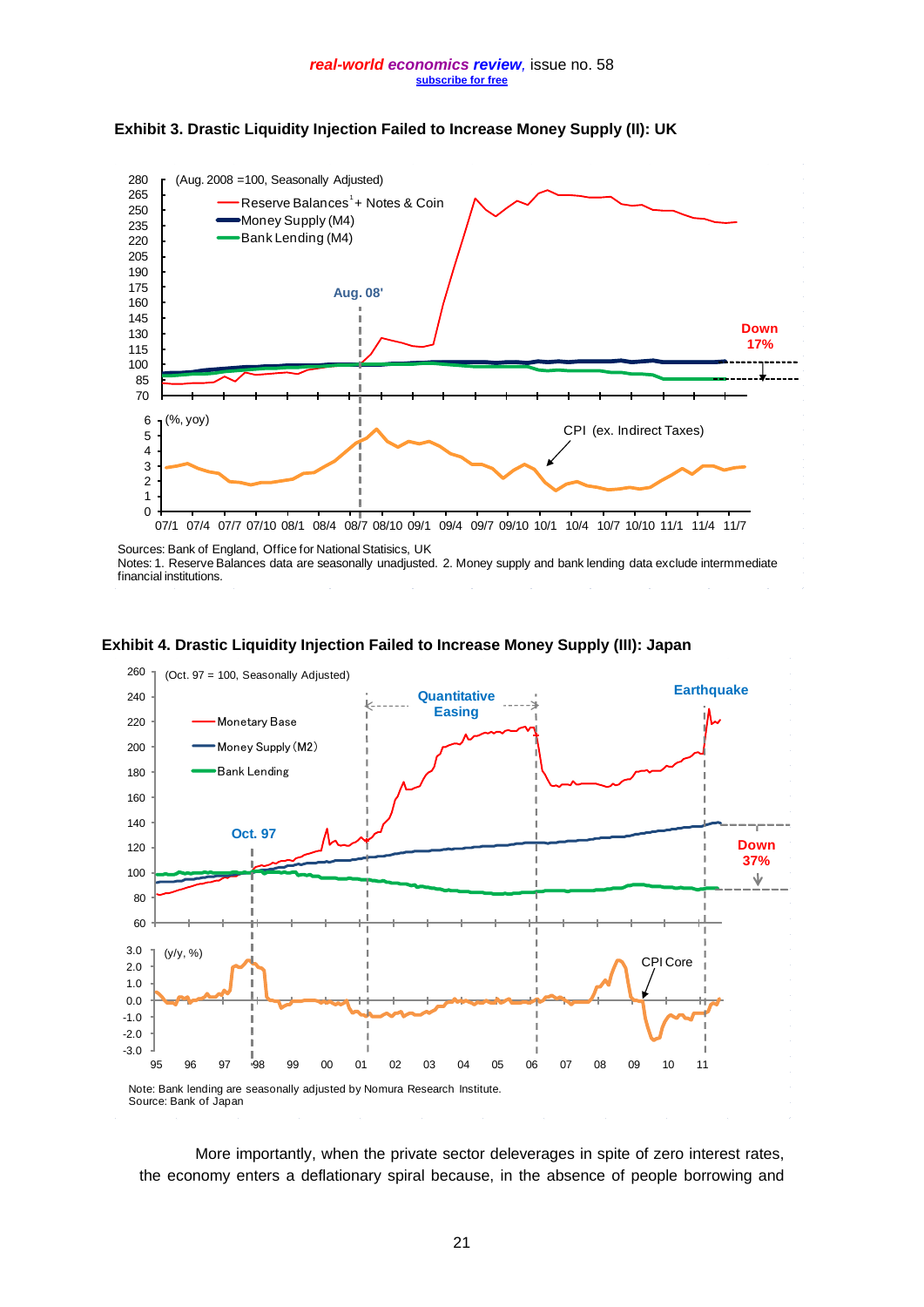

**Exhibit 3. Drastic Liquidity Injection Failed to Increase Money Supply (II): UK**

Sources: Bank of England, Office for National Statisics, UK Notes: 1. Reserve Balances data are seasonally unadjusted. 2. Money supply and bank lending data exclude intermmediate financial institutions.





More importantly, when the private sector deleverages in spite of zero interest rates, the economy enters a deflationary spiral because, in the absence of people borrowing and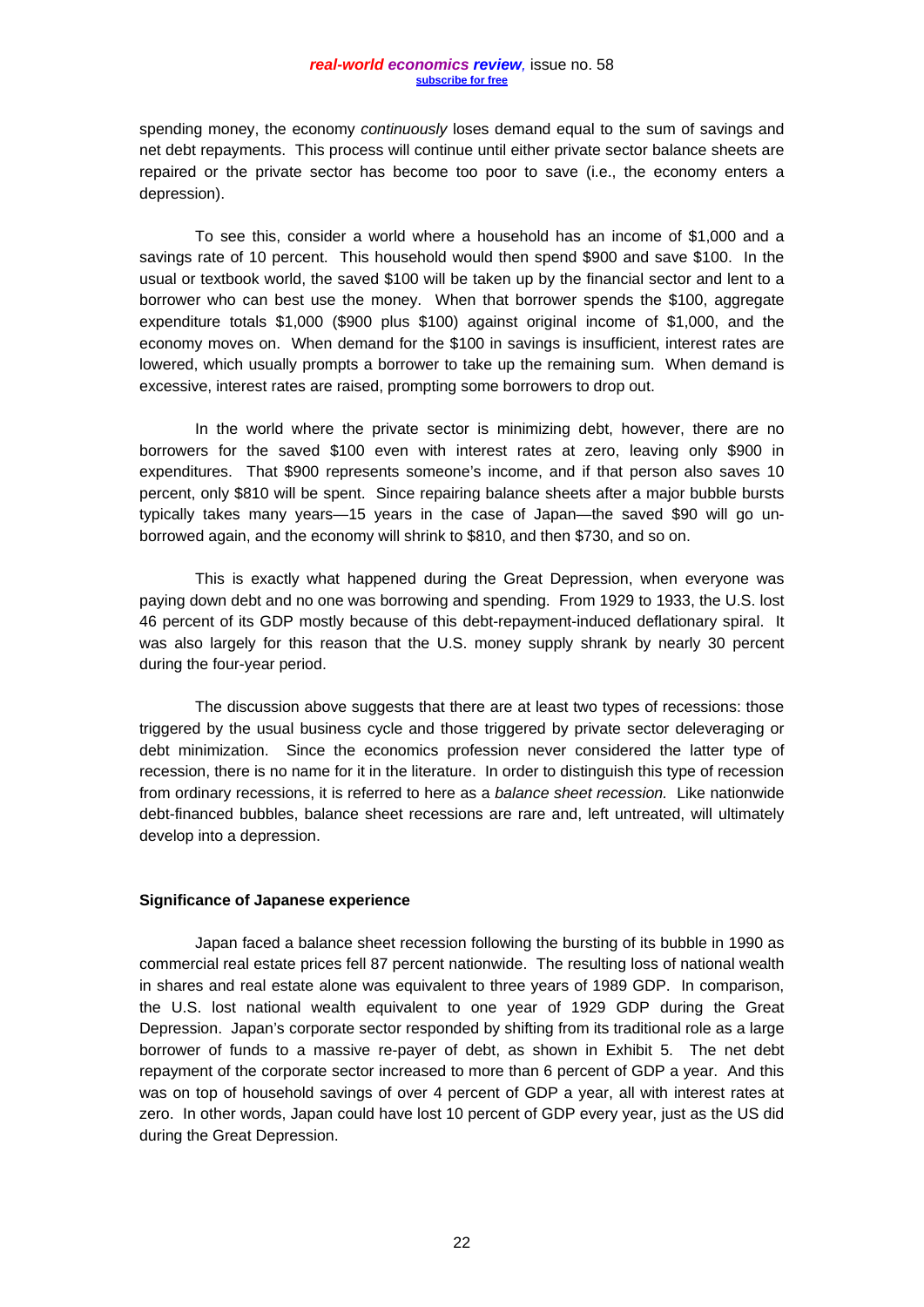spending money, the economy *continuously* loses demand equal to the sum of savings and net debt repayments. This process will continue until either private sector balance sheets are repaired or the private sector has become too poor to save (i.e., the economy enters a depression).

To see this, consider a world where a household has an income of \$1,000 and a savings rate of 10 percent. This household would then spend \$900 and save \$100. In the usual or textbook world, the saved \$100 will be taken up by the financial sector and lent to a borrower who can best use the money. When that borrower spends the \$100, aggregate expenditure totals \$1,000 (\$900 plus \$100) against original income of \$1,000, and the economy moves on. When demand for the \$100 in savings is insufficient, interest rates are lowered, which usually prompts a borrower to take up the remaining sum. When demand is excessive, interest rates are raised, prompting some borrowers to drop out.

In the world where the private sector is minimizing debt, however, there are no borrowers for the saved \$100 even with interest rates at zero, leaving only \$900 in expenditures. That \$900 represents someone's income, and if that person also saves 10 percent, only \$810 will be spent. Since repairing balance sheets after a major bubble bursts typically takes many years—15 years in the case of Japan—the saved \$90 will go unborrowed again, and the economy will shrink to \$810, and then \$730, and so on.

This is exactly what happened during the Great Depression, when everyone was paying down debt and no one was borrowing and spending. From 1929 to 1933, the U.S. lost 46 percent of its GDP mostly because of this debt-repayment-induced deflationary spiral. It was also largely for this reason that the U.S. money supply shrank by nearly 30 percent during the four-year period.

The discussion above suggests that there are at least two types of recessions: those triggered by the usual business cycle and those triggered by private sector deleveraging or debt minimization. Since the economics profession never considered the latter type of recession, there is no name for it in the literature. In order to distinguish this type of recession from ordinary recessions, it is referred to here as a *balance sheet recession.* Like nationwide debt-financed bubbles, balance sheet recessions are rare and, left untreated, will ultimately develop into a depression.

### **Significance of Japanese experience**

Japan faced a balance sheet recession following the bursting of its bubble in 1990 as commercial real estate prices fell 87 percent nationwide. The resulting loss of national wealth in shares and real estate alone was equivalent to three years of 1989 GDP. In comparison, the U.S. lost national wealth equivalent to one year of 1929 GDP during the Great Depression. Japan's corporate sector responded by shifting from its traditional role as a large borrower of funds to a massive re-payer of debt, as shown in Exhibit 5. The net debt repayment of the corporate sector increased to more than 6 percent of GDP a year. And this was on top of household savings of over 4 percent of GDP a year, all with interest rates at zero. In other words, Japan could have lost 10 percent of GDP every year, just as the US did during the Great Depression.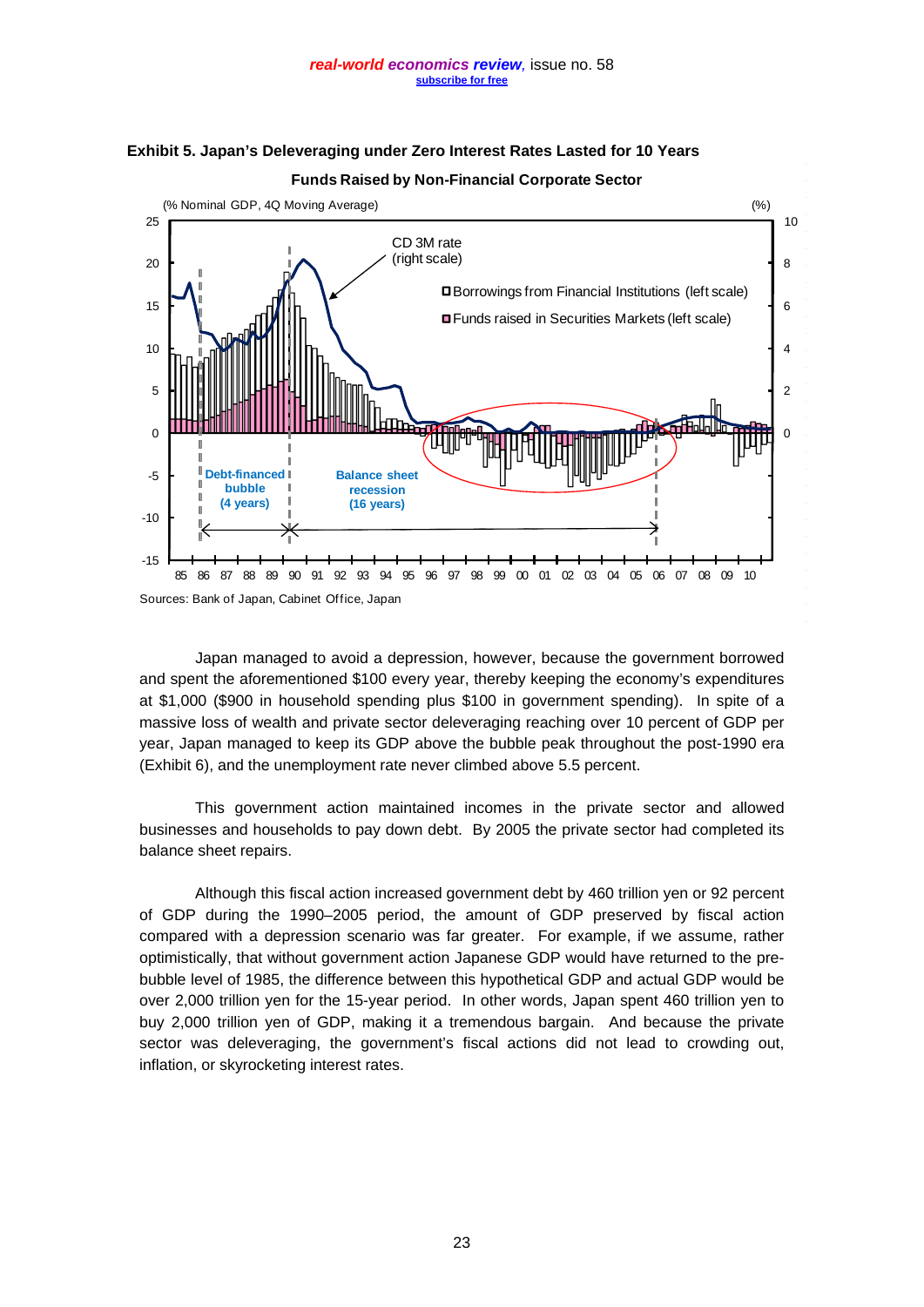

### **Exhibit 5. Japan's Deleveraging under Zero Interest Rates Lasted for 10 Years**

Japan managed to avoid a depression, however, because the government borrowed and spent the aforementioned \$100 every year, thereby keeping the economy's expenditures at \$1,000 (\$900 in household spending plus \$100 in government spending). In spite of a massive loss of wealth and private sector deleveraging reaching over 10 percent of GDP per year, Japan managed to keep its GDP above the bubble peak throughout the post-1990 era (Exhibit 6), and the unemployment rate never climbed above 5.5 percent.

This government action maintained incomes in the private sector and allowed businesses and households to pay down debt. By 2005 the private sector had completed its balance sheet repairs.

Although this fiscal action increased government debt by 460 trillion yen or 92 percent of GDP during the 1990–2005 period, the amount of GDP preserved by fiscal action compared with a depression scenario was far greater. For example, if we assume, rather optimistically, that without government action Japanese GDP would have returned to the prebubble level of 1985, the difference between this hypothetical GDP and actual GDP would be over 2,000 trillion yen for the 15-year period. In other words, Japan spent 460 trillion yen to buy 2,000 trillion yen of GDP, making it a tremendous bargain. And because the private sector was deleveraging, the government's fiscal actions did not lead to crowding out, inflation, or skyrocketing interest rates.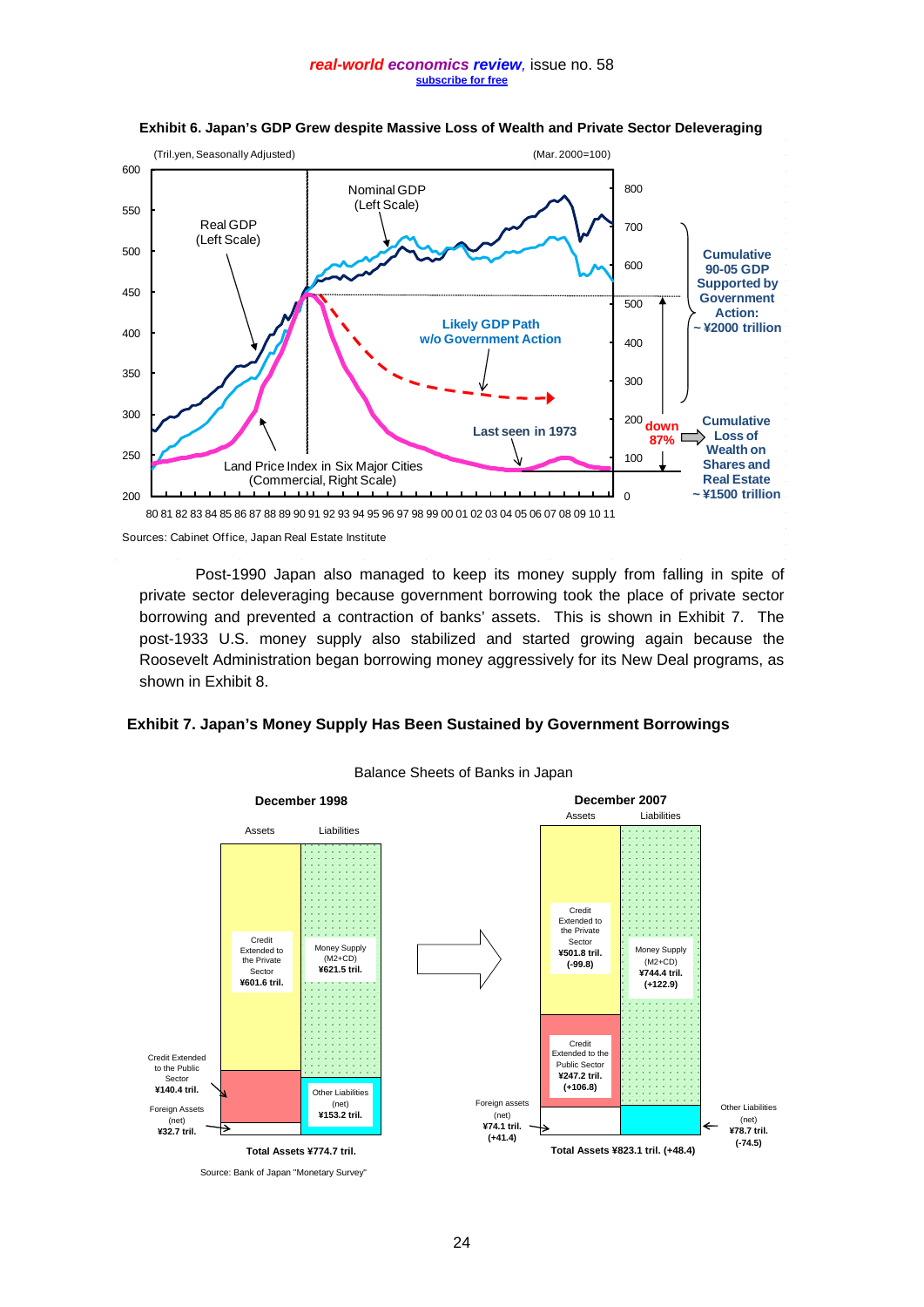

### **Exhibit 6. Japan's GDP Grew despite Massive Loss of Wealth and Private Sector Deleveraging**

Post-1990 Japan also managed to keep its money supply from falling in spite of private sector deleveraging because government borrowing took the place of private sector borrowing and prevented a contraction of banks' assets. This is shown in Exhibit 7. The post-1933 U.S. money supply also stabilized and started growing again because the Roosevelt Administration began borrowing money aggressively for its New Deal programs, as shown in Exhibit 8.

# **Exhibit 7. Japan's Money Supply Has Been Sustained by Government Borrowings**



Balance Sheets of Banks in Japan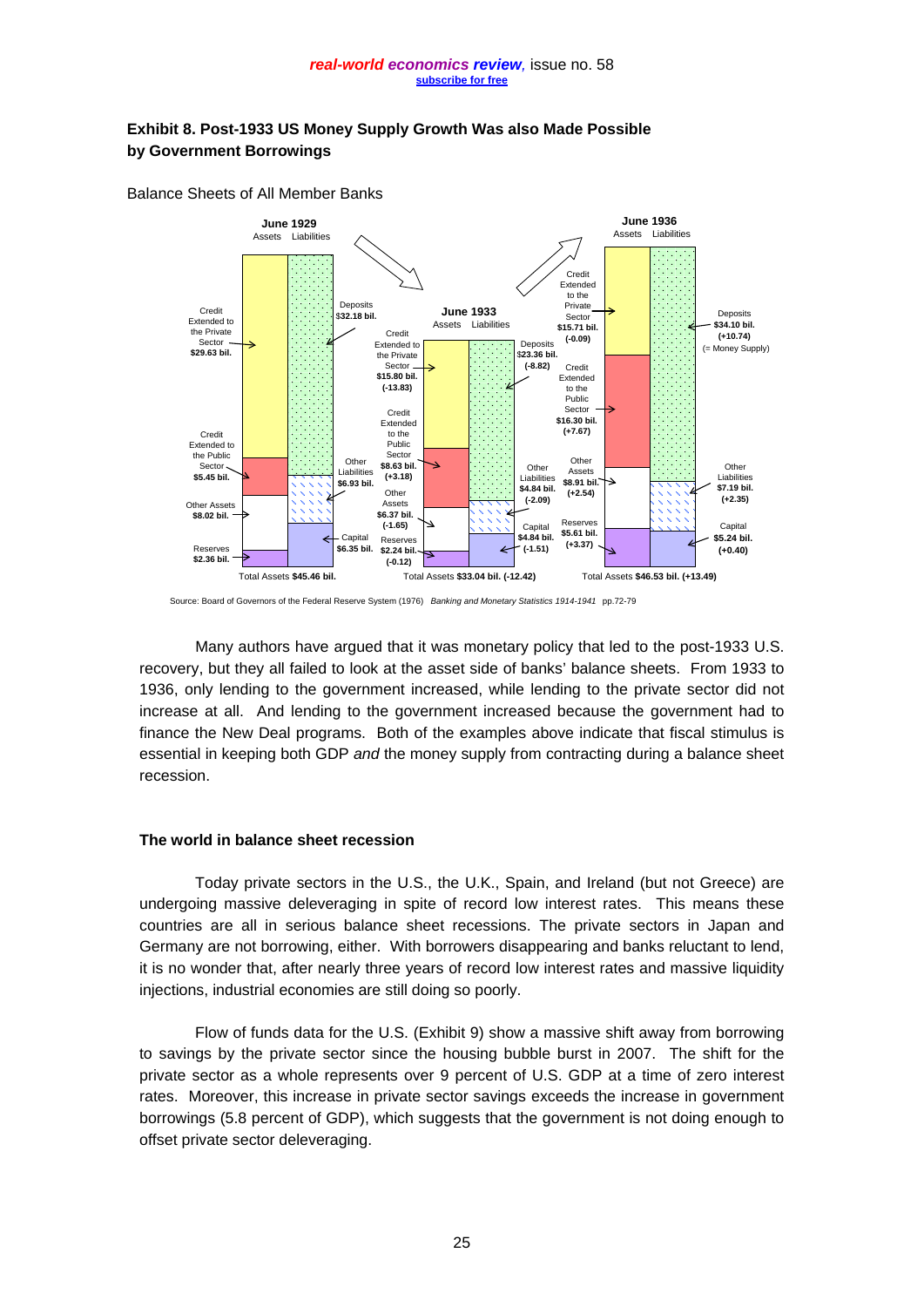# **Exhibit 8. Post-1933 US Money Supply Growth Was also Made Possible by Government Borrowings**



Balance Sheets of All Member Banks

Source: Board of Governors of the Federal Reserve System (1976) *Banking and Monetary Statistics 1914-1941* pp.72-79

Many authors have argued that it was monetary policy that led to the post-1933 U.S. recovery, but they all failed to look at the asset side of banks' balance sheets. From 1933 to 1936, only lending to the government increased, while lending to the private sector did not increase at all. And lending to the government increased because the government had to finance the New Deal programs. Both of the examples above indicate that fiscal stimulus is essential in keeping both GDP *and* the money supply from contracting during a balance sheet recession.

# **The world in balance sheet recession**

Today private sectors in the U.S., the U.K., Spain, and Ireland (but not Greece) are undergoing massive deleveraging in spite of record low interest rates. This means these countries are all in serious balance sheet recessions. The private sectors in Japan and Germany are not borrowing, either. With borrowers disappearing and banks reluctant to lend, it is no wonder that, after nearly three years of record low interest rates and massive liquidity injections, industrial economies are still doing so poorly.

Flow of funds data for the U.S. (Exhibit 9) show a massive shift away from borrowing to savings by the private sector since the housing bubble burst in 2007. The shift for the private sector as a whole represents over 9 percent of U.S. GDP at a time of zero interest rates. Moreover, this increase in private sector savings exceeds the increase in government borrowings (5.8 percent of GDP), which suggests that the government is not doing enough to offset private sector deleveraging.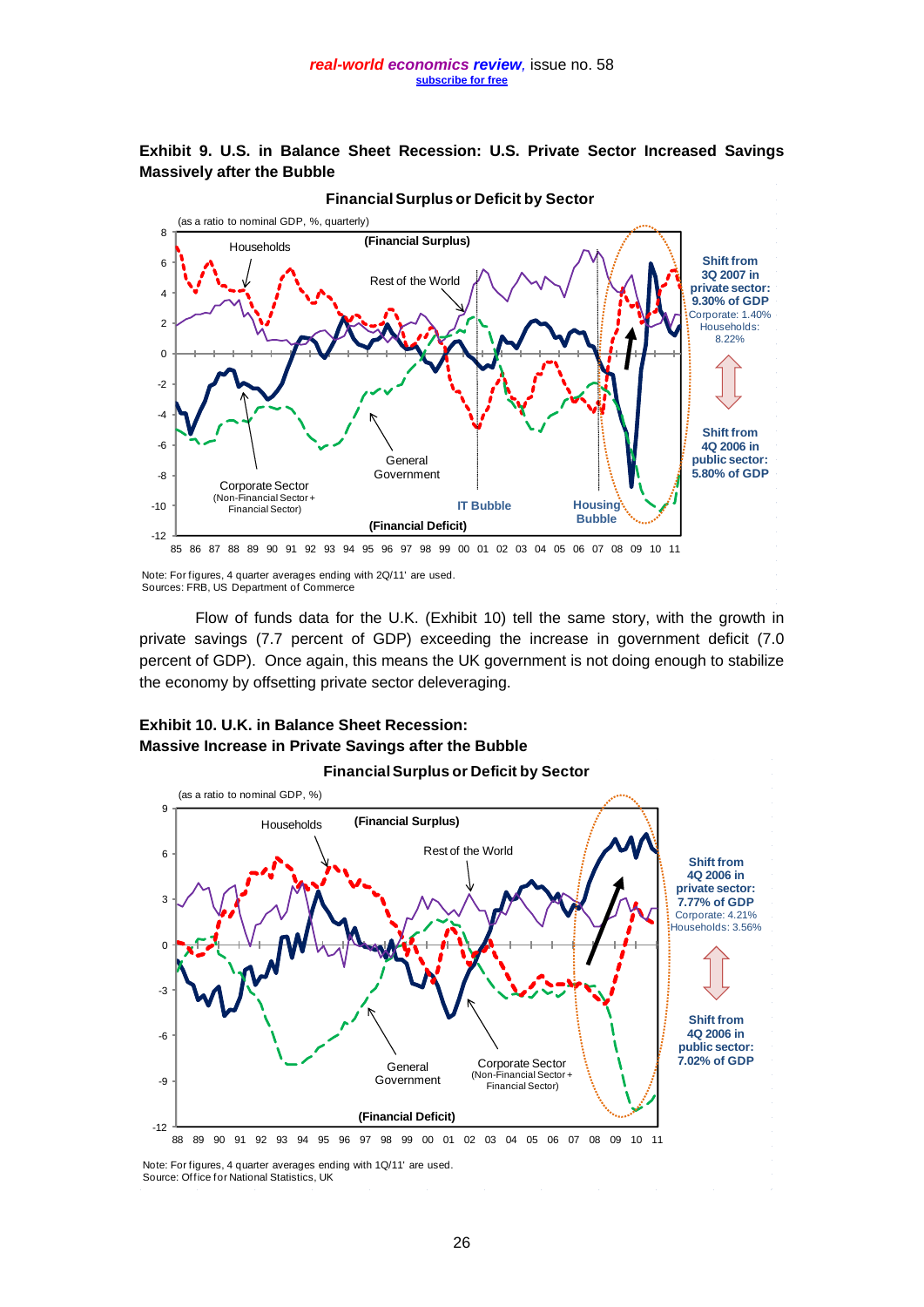



Sources: FRB, US Department of Commerce

Flow of funds data for the U.K. (Exhibit 10) tell the same story, with the growth in private savings (7.7 percent of GDP) exceeding the increase in government deficit (7.0 percent of GDP). Once again, this means the UK government is not doing enough to stabilize the economy by offsetting private sector deleveraging.

# **Exhibit 10. U.K. in Balance Sheet Recession: Massive Increase in Private Savings after the Bubble**



Note: For figures, 4 quarter averages ending with 1Q/11' are used. Source: Office for National Statistics, UK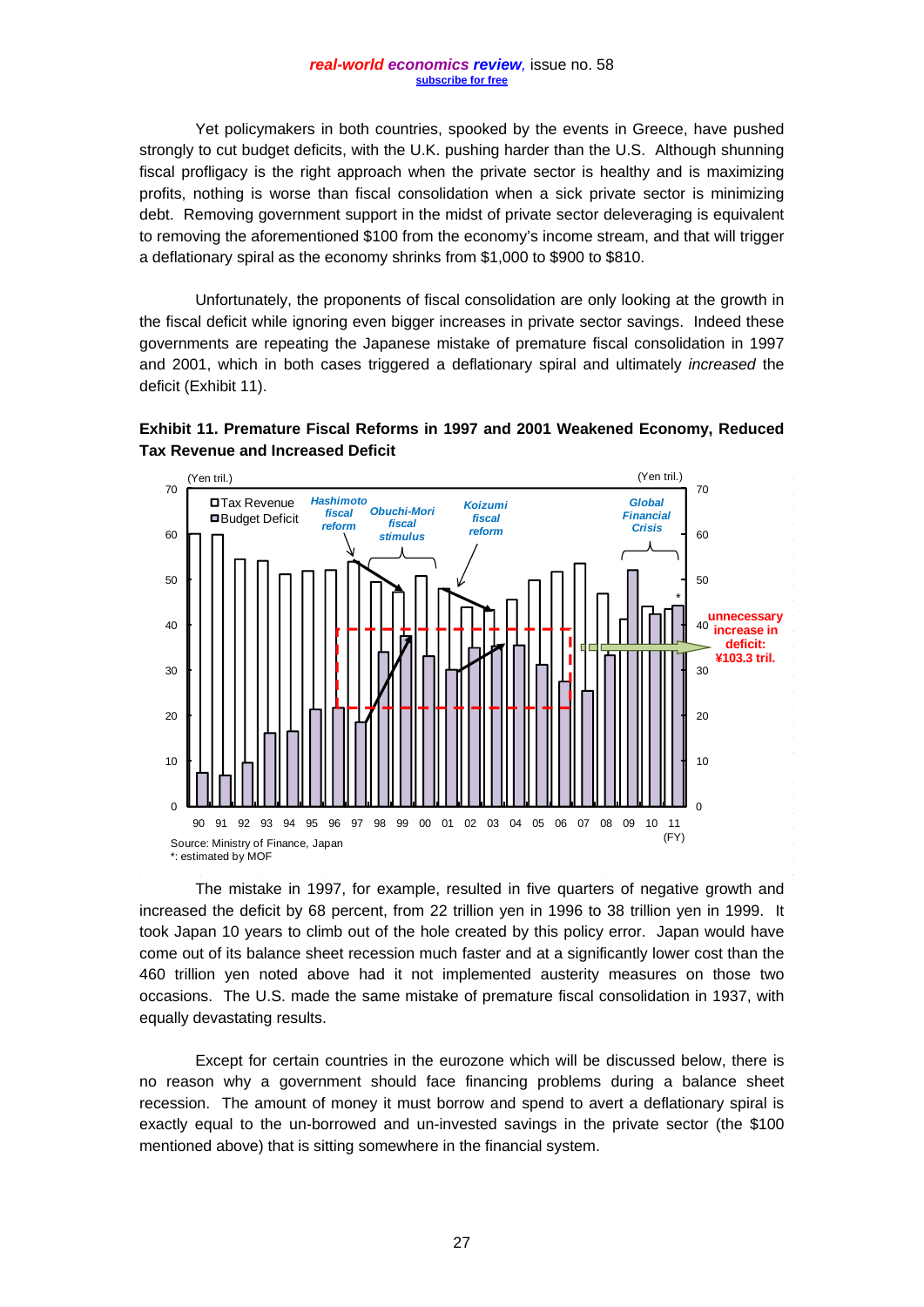Yet policymakers in both countries, spooked by the events in Greece, have pushed strongly to cut budget deficits, with the U.K. pushing harder than the U.S. Although shunning fiscal profligacy is the right approach when the private sector is healthy and is maximizing profits, nothing is worse than fiscal consolidation when a sick private sector is minimizing debt. Removing government support in the midst of private sector deleveraging is equivalent to removing the aforementioned \$100 from the economy's income stream, and that will trigger a deflationary spiral as the economy shrinks from \$1,000 to \$900 to \$810.

Unfortunately, the proponents of fiscal consolidation are only looking at the growth in the fiscal deficit while ignoring even bigger increases in private sector savings. Indeed these governments are repeating the Japanese mistake of premature fiscal consolidation in 1997 and 2001, which in both cases triggered a deflationary spiral and ultimately *increased* the deficit (Exhibit 11).





The mistake in 1997, for example, resulted in five quarters of negative growth and increased the deficit by 68 percent, from 22 trillion yen in 1996 to 38 trillion yen in 1999. It took Japan 10 years to climb out of the hole created by this policy error. Japan would have come out of its balance sheet recession much faster and at a significantly lower cost than the 460 trillion yen noted above had it not implemented austerity measures on those two occasions. The U.S. made the same mistake of premature fiscal consolidation in 1937, with equally devastating results.

Except for certain countries in the eurozone which will be discussed below, there is no reason why a government should face financing problems during a balance sheet recession. The amount of money it must borrow and spend to avert a deflationary spiral is exactly equal to the un-borrowed and un-invested savings in the private sector (the \$100 mentioned above) that is sitting somewhere in the financial system.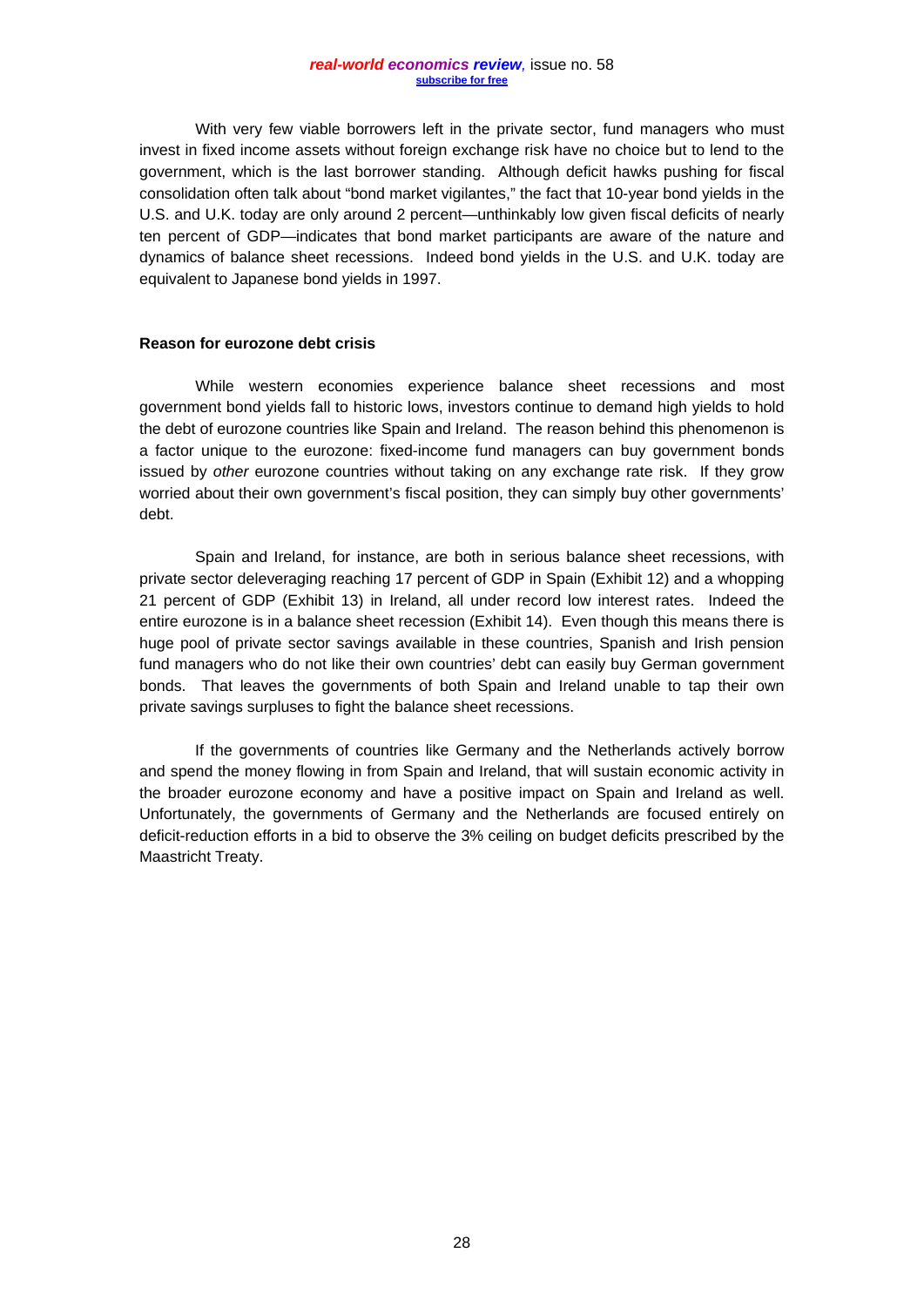With very few viable borrowers left in the private sector, fund managers who must invest in fixed income assets without foreign exchange risk have no choice but to lend to the government, which is the last borrower standing. Although deficit hawks pushing for fiscal consolidation often talk about "bond market vigilantes," the fact that 10-year bond yields in the U.S. and U.K. today are only around 2 percent—unthinkably low given fiscal deficits of nearly ten percent of GDP—indicates that bond market participants are aware of the nature and dynamics of balance sheet recessions. Indeed bond yields in the U.S. and U.K. today are equivalent to Japanese bond yields in 1997.

### **Reason for eurozone debt crisis**

While western economies experience balance sheet recessions and most government bond yields fall to historic lows, investors continue to demand high yields to hold the debt of eurozone countries like Spain and Ireland. The reason behind this phenomenon is a factor unique to the eurozone: fixed-income fund managers can buy government bonds issued by *other* eurozone countries without taking on any exchange rate risk. If they grow worried about their own government's fiscal position, they can simply buy other governments' debt.

Spain and Ireland, for instance, are both in serious balance sheet recessions, with private sector deleveraging reaching 17 percent of GDP in Spain (Exhibit 12) and a whopping 21 percent of GDP (Exhibit 13) in Ireland, all under record low interest rates. Indeed the entire eurozone is in a balance sheet recession (Exhibit 14). Even though this means there is huge pool of private sector savings available in these countries, Spanish and Irish pension fund managers who do not like their own countries' debt can easily buy German government bonds. That leaves the governments of both Spain and Ireland unable to tap their own private savings surpluses to fight the balance sheet recessions.

If the governments of countries like Germany and the Netherlands actively borrow and spend the money flowing in from Spain and Ireland, that will sustain economic activity in the broader eurozone economy and have a positive impact on Spain and Ireland as well. Unfortunately, the governments of Germany and the Netherlands are focused entirely on deficit-reduction efforts in a bid to observe the 3% ceiling on budget deficits prescribed by the Maastricht Treaty.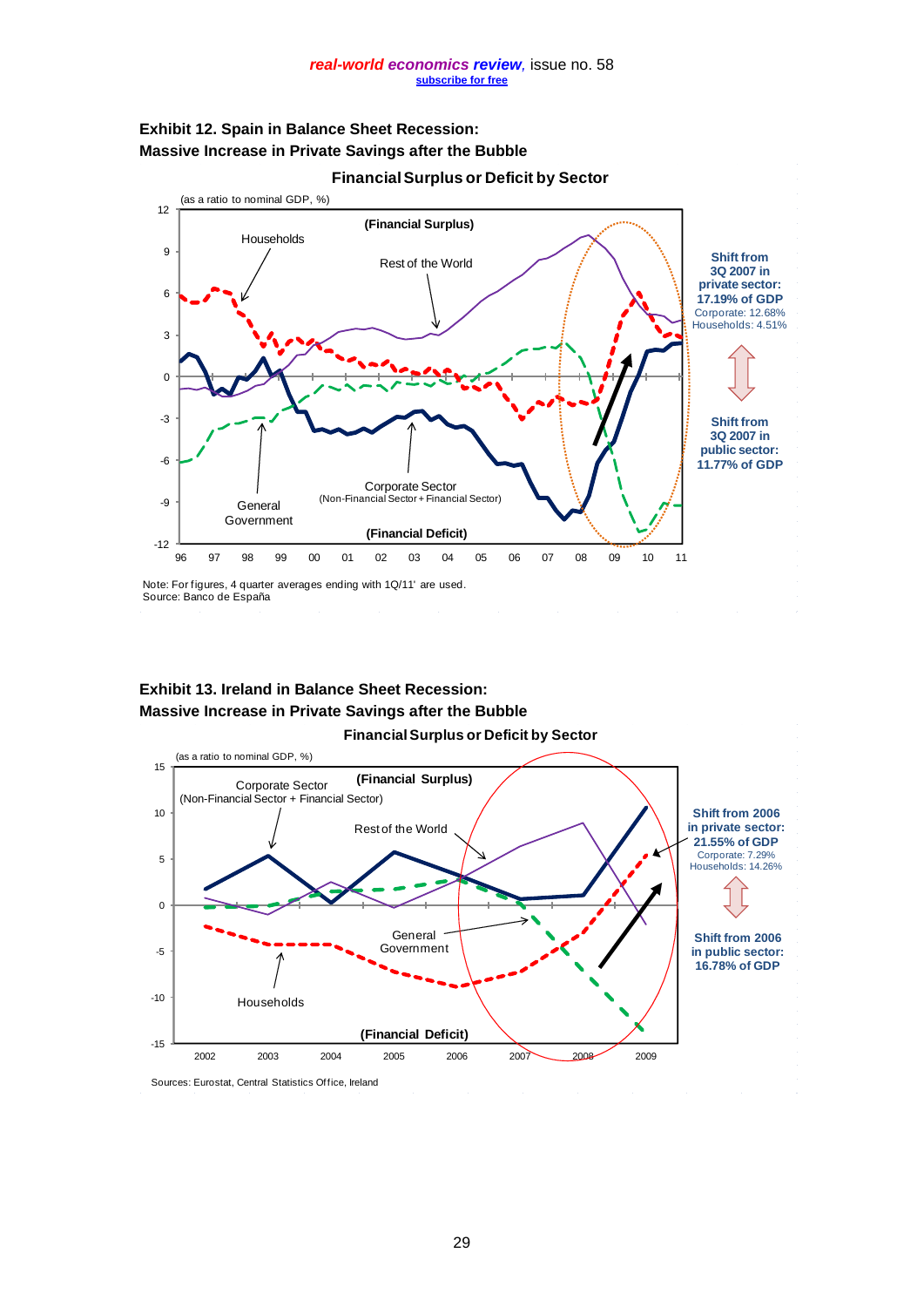



# **Exhibit 13. Ireland in Balance Sheet Recession: Massive Increase in Private Savings after the Bubble**



Sources: Eurostat, Central Statistics Office, Ireland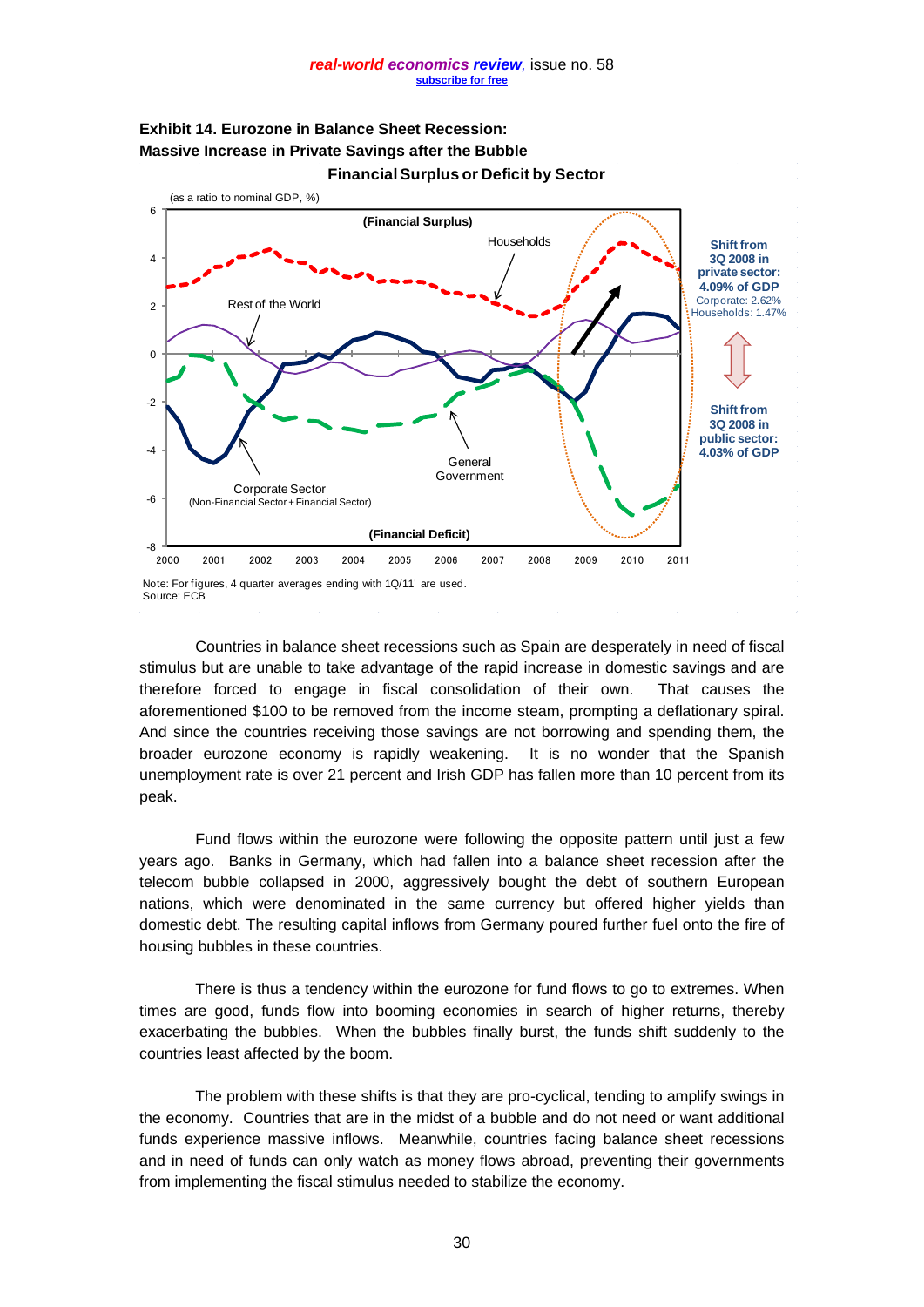

**Exhibit 14. Eurozone in Balance Sheet Recession: Massive Increase in Private Savings after the Bubble**

Countries in balance sheet recessions such as Spain are desperately in need of fiscal stimulus but are unable to take advantage of the rapid increase in domestic savings and are therefore forced to engage in fiscal consolidation of their own. That causes the aforementioned \$100 to be removed from the income steam, prompting a deflationary spiral. And since the countries receiving those savings are not borrowing and spending them, the broader eurozone economy is rapidly weakening. It is no wonder that the Spanish unemployment rate is over 21 percent and Irish GDP has fallen more than 10 percent from its peak.

Fund flows within the eurozone were following the opposite pattern until just a few years ago. Banks in Germany, which had fallen into a balance sheet recession after the telecom bubble collapsed in 2000, aggressively bought the debt of southern European nations, which were denominated in the same currency but offered higher yields than domestic debt. The resulting capital inflows from Germany poured further fuel onto the fire of housing bubbles in these countries.

There is thus a tendency within the eurozone for fund flows to go to extremes. When times are good, funds flow into booming economies in search of higher returns, thereby exacerbating the bubbles. When the bubbles finally burst, the funds shift suddenly to the countries least affected by the boom.

The problem with these shifts is that they are pro-cyclical, tending to amplify swings in the economy. Countries that are in the midst of a bubble and do not need or want additional funds experience massive inflows. Meanwhile, countries facing balance sheet recessions and in need of funds can only watch as money flows abroad, preventing their governments from implementing the fiscal stimulus needed to stabilize the economy.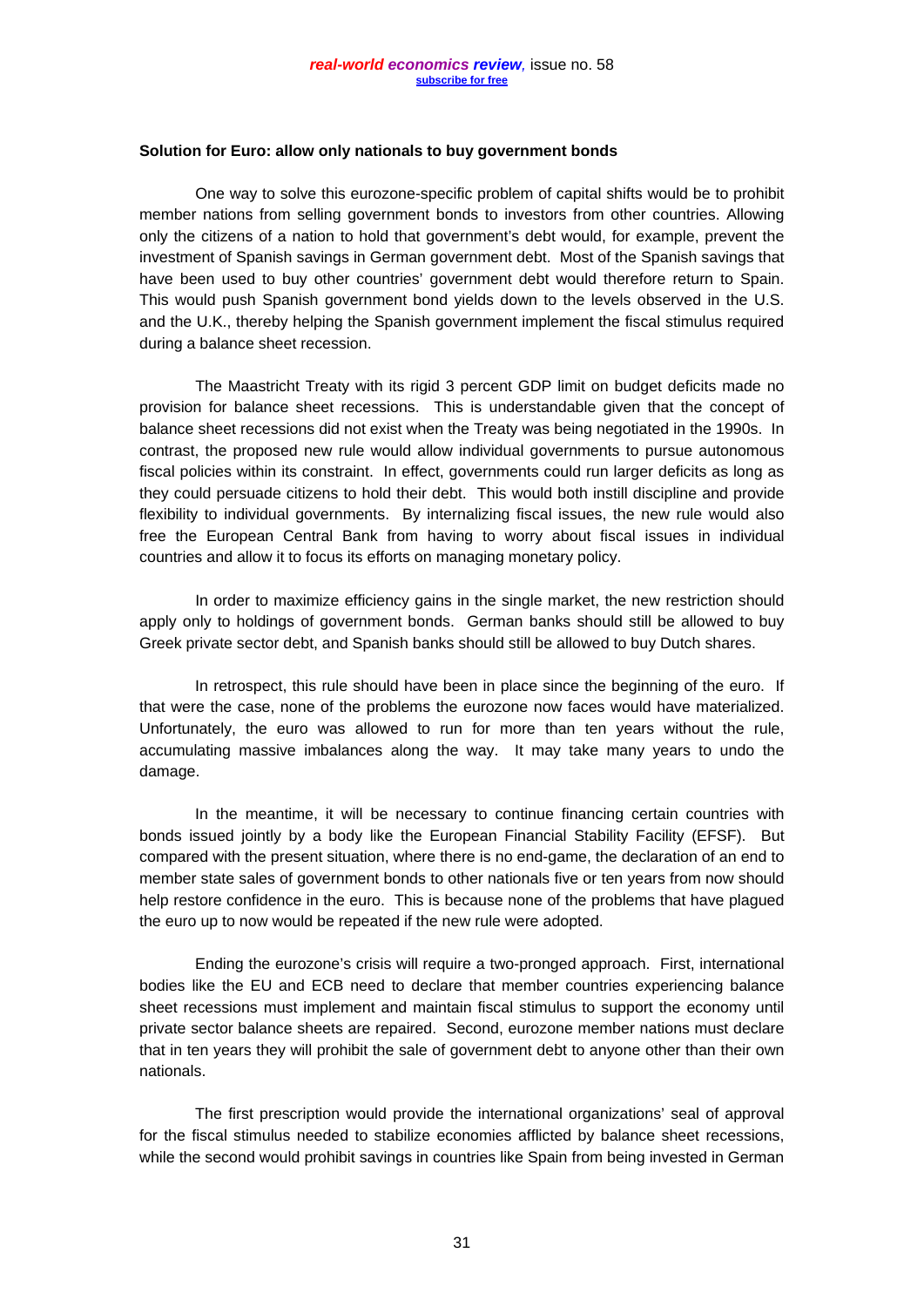### **Solution for Euro: allow only nationals to buy government bonds**

One way to solve this eurozone-specific problem of capital shifts would be to prohibit member nations from selling government bonds to investors from other countries. Allowing only the citizens of a nation to hold that government's debt would, for example, prevent the investment of Spanish savings in German government debt. Most of the Spanish savings that have been used to buy other countries' government debt would therefore return to Spain. This would push Spanish government bond yields down to the levels observed in the U.S. and the U.K., thereby helping the Spanish government implement the fiscal stimulus required during a balance sheet recession.

The Maastricht Treaty with its rigid 3 percent GDP limit on budget deficits made no provision for balance sheet recessions. This is understandable given that the concept of balance sheet recessions did not exist when the Treaty was being negotiated in the 1990s. In contrast, the proposed new rule would allow individual governments to pursue autonomous fiscal policies within its constraint. In effect, governments could run larger deficits as long as they could persuade citizens to hold their debt. This would both instill discipline and provide flexibility to individual governments. By internalizing fiscal issues, the new rule would also free the European Central Bank from having to worry about fiscal issues in individual countries and allow it to focus its efforts on managing monetary policy.

In order to maximize efficiency gains in the single market, the new restriction should apply only to holdings of government bonds. German banks should still be allowed to buy Greek private sector debt, and Spanish banks should still be allowed to buy Dutch shares.

In retrospect, this rule should have been in place since the beginning of the euro. If that were the case, none of the problems the eurozone now faces would have materialized. Unfortunately, the euro was allowed to run for more than ten years without the rule, accumulating massive imbalances along the way. It may take many years to undo the damage.

In the meantime, it will be necessary to continue financing certain countries with bonds issued jointly by a body like the European Financial Stability Facility (EFSF). But compared with the present situation, where there is no end-game, the declaration of an end to member state sales of government bonds to other nationals five or ten years from now should help restore confidence in the euro. This is because none of the problems that have plagued the euro up to now would be repeated if the new rule were adopted.

Ending the eurozone's crisis will require a two-pronged approach. First, international bodies like the EU and ECB need to declare that member countries experiencing balance sheet recessions must implement and maintain fiscal stimulus to support the economy until private sector balance sheets are repaired. Second, eurozone member nations must declare that in ten years they will prohibit the sale of government debt to anyone other than their own nationals.

The first prescription would provide the international organizations' seal of approval for the fiscal stimulus needed to stabilize economies afflicted by balance sheet recessions, while the second would prohibit savings in countries like Spain from being invested in German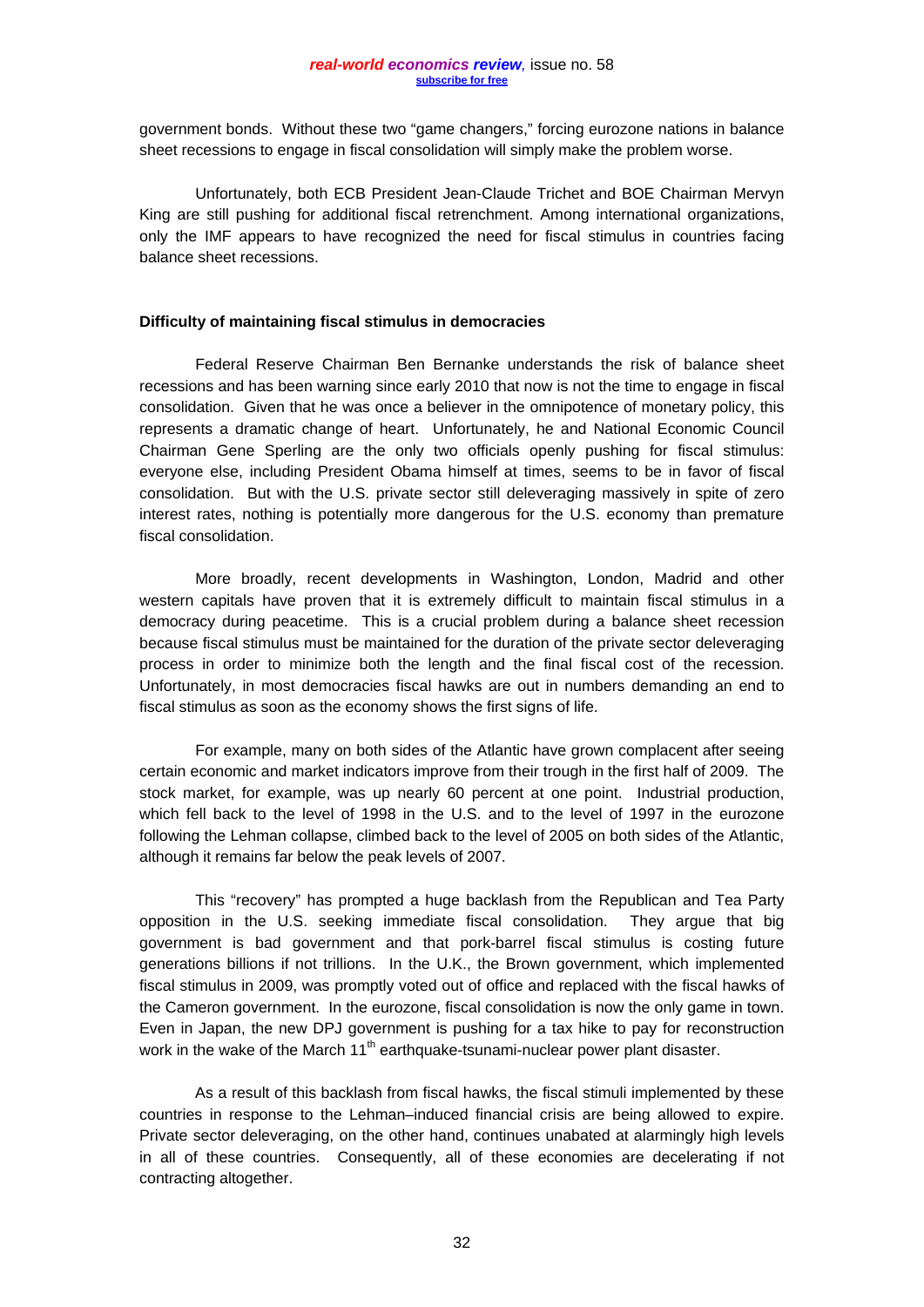government bonds. Without these two "game changers," forcing eurozone nations in balance sheet recessions to engage in fiscal consolidation will simply make the problem worse.

Unfortunately, both ECB President Jean-Claude Trichet and BOE Chairman Mervyn King are still pushing for additional fiscal retrenchment. Among international organizations, only the IMF appears to have recognized the need for fiscal stimulus in countries facing balance sheet recessions.

### **Difficulty of maintaining fiscal stimulus in democracies**

Federal Reserve Chairman Ben Bernanke understands the risk of balance sheet recessions and has been warning since early 2010 that now is not the time to engage in fiscal consolidation. Given that he was once a believer in the omnipotence of monetary policy, this represents a dramatic change of heart. Unfortunately, he and National Economic Council Chairman Gene Sperling are the only two officials openly pushing for fiscal stimulus: everyone else, including President Obama himself at times, seems to be in favor of fiscal consolidation. But with the U.S. private sector still deleveraging massively in spite of zero interest rates, nothing is potentially more dangerous for the U.S. economy than premature fiscal consolidation.

More broadly, recent developments in Washington, London, Madrid and other western capitals have proven that it is extremely difficult to maintain fiscal stimulus in a democracy during peacetime. This is a crucial problem during a balance sheet recession because fiscal stimulus must be maintained for the duration of the private sector deleveraging process in order to minimize both the length and the final fiscal cost of the recession. Unfortunately, in most democracies fiscal hawks are out in numbers demanding an end to fiscal stimulus as soon as the economy shows the first signs of life.

For example, many on both sides of the Atlantic have grown complacent after seeing certain economic and market indicators improve from their trough in the first half of 2009. The stock market, for example, was up nearly 60 percent at one point. Industrial production, which fell back to the level of 1998 in the U.S. and to the level of 1997 in the eurozone following the Lehman collapse, climbed back to the level of 2005 on both sides of the Atlantic, although it remains far below the peak levels of 2007.

This "recovery" has prompted a huge backlash from the Republican and Tea Party opposition in the U.S. seeking immediate fiscal consolidation. They argue that big government is bad government and that pork-barrel fiscal stimulus is costing future generations billions if not trillions. In the U.K., the Brown government, which implemented fiscal stimulus in 2009, was promptly voted out of office and replaced with the fiscal hawks of the Cameron government. In the eurozone, fiscal consolidation is now the only game in town. Even in Japan, the new DPJ government is pushing for a tax hike to pay for reconstruction work in the wake of the March  $11<sup>th</sup>$  earthquake-tsunami-nuclear power plant disaster.

As a result of this backlash from fiscal hawks, the fiscal stimuli implemented by these countries in response to the Lehman–induced financial crisis are being allowed to expire. Private sector deleveraging, on the other hand, continues unabated at alarmingly high levels in all of these countries. Consequently, all of these economies are decelerating if not contracting altogether.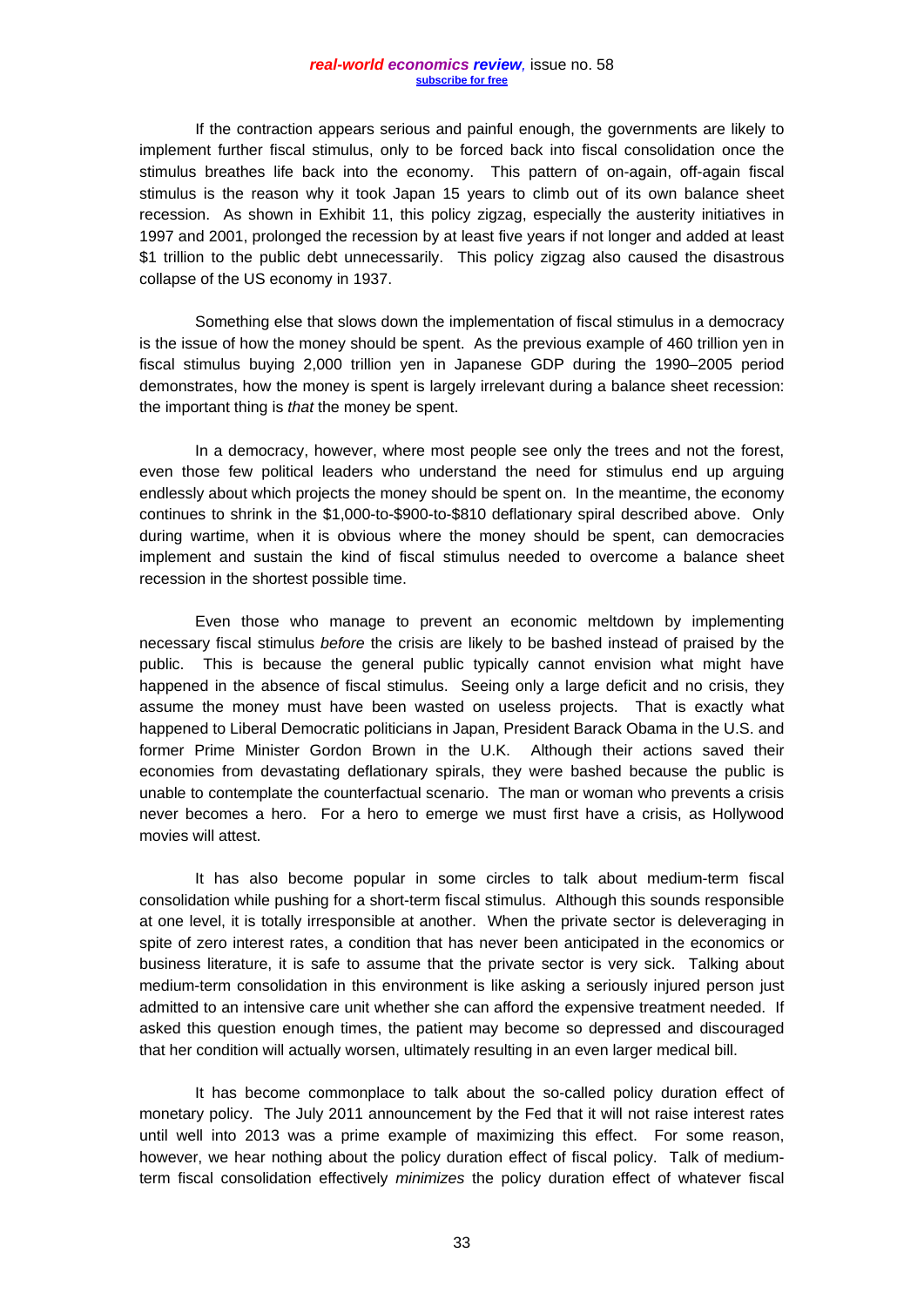If the contraction appears serious and painful enough, the governments are likely to implement further fiscal stimulus, only to be forced back into fiscal consolidation once the stimulus breathes life back into the economy. This pattern of on-again, off-again fiscal stimulus is the reason why it took Japan 15 years to climb out of its own balance sheet recession. As shown in Exhibit 11, this policy zigzag, especially the austerity initiatives in 1997 and 2001, prolonged the recession by at least five years if not longer and added at least \$1 trillion to the public debt unnecessarily. This policy zigzag also caused the disastrous collapse of the US economy in 1937.

Something else that slows down the implementation of fiscal stimulus in a democracy is the issue of how the money should be spent. As the previous example of 460 trillion yen in fiscal stimulus buying 2,000 trillion yen in Japanese GDP during the 1990–2005 period demonstrates, how the money is spent is largely irrelevant during a balance sheet recession: the important thing is *that* the money be spent.

In a democracy, however, where most people see only the trees and not the forest, even those few political leaders who understand the need for stimulus end up arguing endlessly about which projects the money should be spent on. In the meantime, the economy continues to shrink in the \$1,000-to-\$900-to-\$810 deflationary spiral described above. Only during wartime, when it is obvious where the money should be spent, can democracies implement and sustain the kind of fiscal stimulus needed to overcome a balance sheet recession in the shortest possible time.

Even those who manage to prevent an economic meltdown by implementing necessary fiscal stimulus *before* the crisis are likely to be bashed instead of praised by the public. This is because the general public typically cannot envision what might have happened in the absence of fiscal stimulus. Seeing only a large deficit and no crisis, they assume the money must have been wasted on useless projects. That is exactly what happened to Liberal Democratic politicians in Japan, President Barack Obama in the U.S. and former Prime Minister Gordon Brown in the U.K. Although their actions saved their economies from devastating deflationary spirals, they were bashed because the public is unable to contemplate the counterfactual scenario. The man or woman who prevents a crisis never becomes a hero. For a hero to emerge we must first have a crisis, as Hollywood movies will attest.

It has also become popular in some circles to talk about medium-term fiscal consolidation while pushing for a short-term fiscal stimulus. Although this sounds responsible at one level, it is totally irresponsible at another. When the private sector is deleveraging in spite of zero interest rates, a condition that has never been anticipated in the economics or business literature, it is safe to assume that the private sector is very sick. Talking about medium-term consolidation in this environment is like asking a seriously injured person just admitted to an intensive care unit whether she can afford the expensive treatment needed. If asked this question enough times, the patient may become so depressed and discouraged that her condition will actually worsen, ultimately resulting in an even larger medical bill.

It has become commonplace to talk about the so-called policy duration effect of monetary policy. The July 2011 announcement by the Fed that it will not raise interest rates until well into 2013 was a prime example of maximizing this effect. For some reason, however, we hear nothing about the policy duration effect of fiscal policy. Talk of mediumterm fiscal consolidation effectively *minimizes* the policy duration effect of whatever fiscal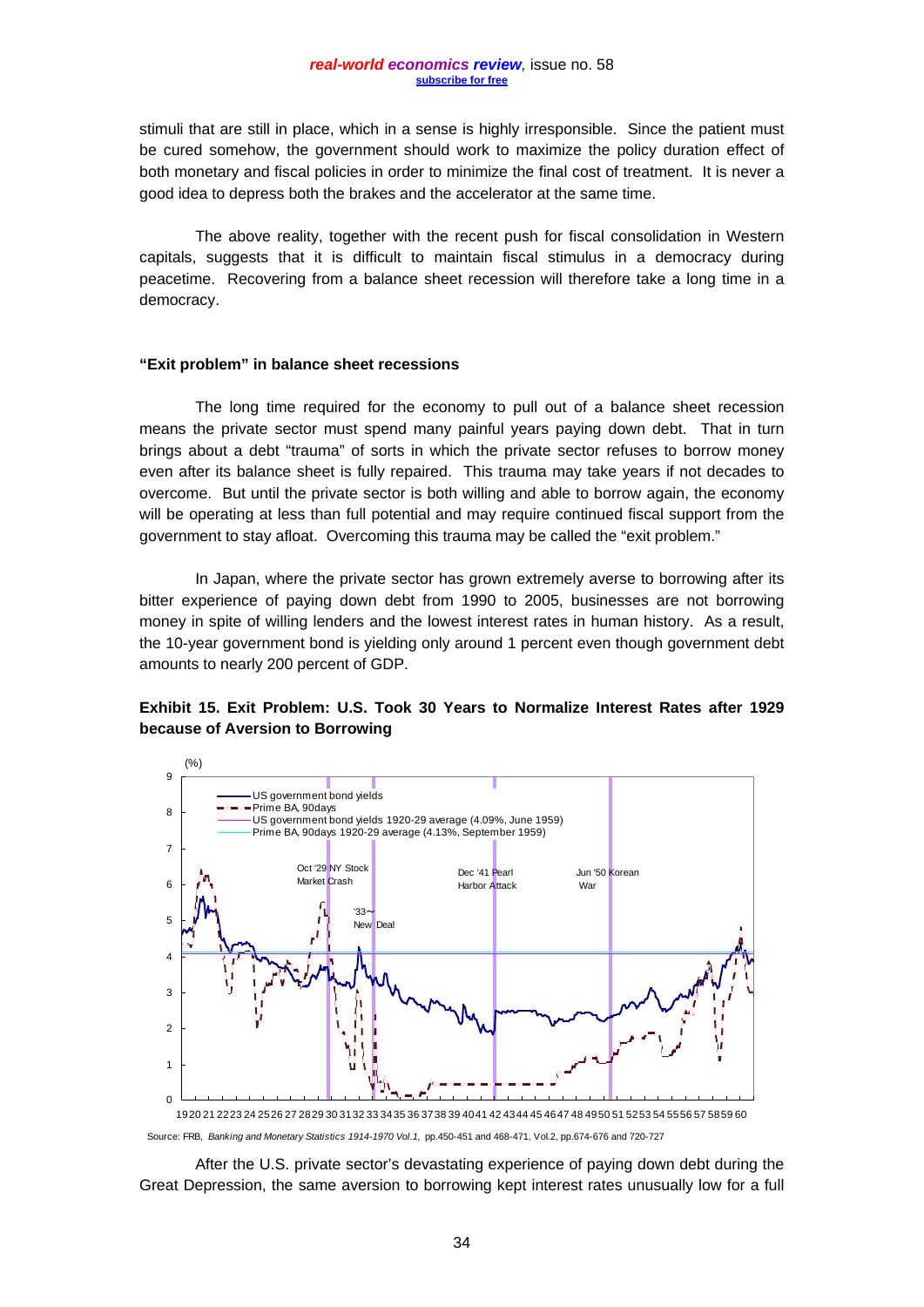stimuli that are still in place, which in a sense is highly irresponsible. Since the patient must be cured somehow, the government should work to maximize the policy duration effect of both monetary and fiscal policies in order to minimize the final cost of treatment. It is never a good idea to depress both the brakes and the accelerator at the same time.

The above reality, together with the recent push for fiscal consolidation in Western capitals, suggests that it is difficult to maintain fiscal stimulus in a democracy during peacetime. Recovering from a balance sheet recession will therefore take a long time in a democracy.

### **"Exit problem" in balance sheet recessions**

The long time required for the economy to pull out of a balance sheet recession means the private sector must spend many painful years paying down debt. That in turn brings about a debt "trauma" of sorts in which the private sector refuses to borrow money even after its balance sheet is fully repaired. This trauma may take years if not decades to overcome. But until the private sector is both willing and able to borrow again, the economy will be operating at less than full potential and may require continued fiscal support from the government to stay afloat. Overcoming this trauma may be called the "exit problem."

In Japan, where the private sector has grown extremely averse to borrowing after its bitter experience of paying down debt from 1990 to 2005, businesses are not borrowing money in spite of willing lenders and the lowest interest rates in human history. As a result, the 10-year government bond is yielding only around 1 percent even though government debt amounts to nearly 200 percent of GDP.

# **Exhibit 15. Exit Problem: U.S. Took 30 Years to Normalize Interest Rates after 1929 because of Aversion to Borrowing**



Source: FRB, *Banking and Monetary Statistics 1914-1970 Vol.1,* pp.450-451 and 468-471, Vol.2, pp.674-676 and 720-727

After the U.S. private sector's devastating experience of paying down debt during the Great Depression, the same aversion to borrowing kept interest rates unusually low for a full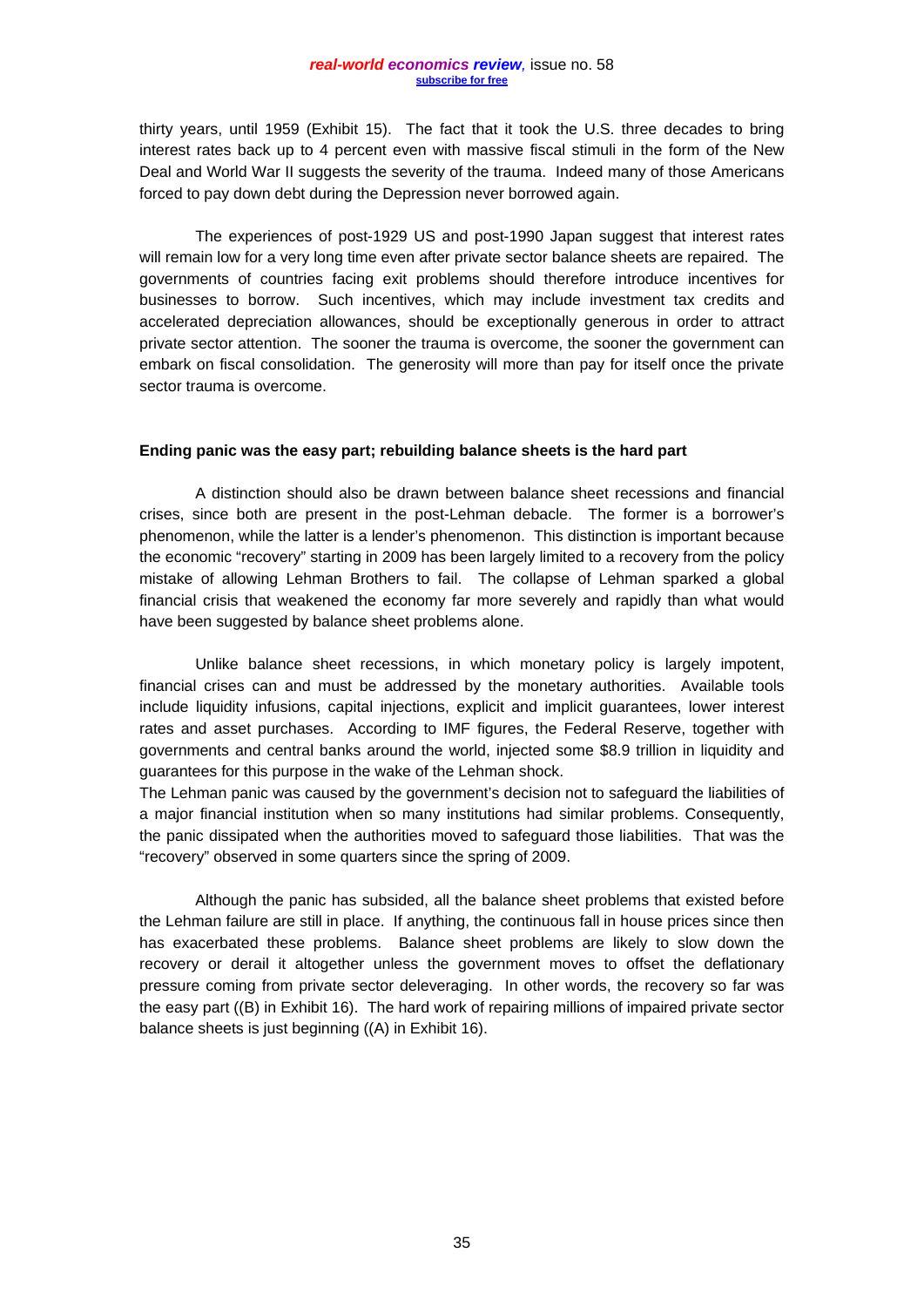thirty years, until 1959 (Exhibit 15). The fact that it took the U.S. three decades to bring interest rates back up to 4 percent even with massive fiscal stimuli in the form of the New Deal and World War II suggests the severity of the trauma. Indeed many of those Americans forced to pay down debt during the Depression never borrowed again.

The experiences of post-1929 US and post-1990 Japan suggest that interest rates will remain low for a very long time even after private sector balance sheets are repaired. The governments of countries facing exit problems should therefore introduce incentives for businesses to borrow. Such incentives, which may include investment tax credits and accelerated depreciation allowances, should be exceptionally generous in order to attract private sector attention. The sooner the trauma is overcome, the sooner the government can embark on fiscal consolidation. The generosity will more than pay for itself once the private sector trauma is overcome.

## **Ending panic was the easy part; rebuilding balance sheets is the hard part**

A distinction should also be drawn between balance sheet recessions and financial crises, since both are present in the post-Lehman debacle. The former is a borrower's phenomenon, while the latter is a lender's phenomenon. This distinction is important because the economic "recovery" starting in 2009 has been largely limited to a recovery from the policy mistake of allowing Lehman Brothers to fail. The collapse of Lehman sparked a global financial crisis that weakened the economy far more severely and rapidly than what would have been suggested by balance sheet problems alone.

Unlike balance sheet recessions, in which monetary policy is largely impotent, financial crises can and must be addressed by the monetary authorities. Available tools include liquidity infusions, capital injections, explicit and implicit guarantees, lower interest rates and asset purchases. According to IMF figures, the Federal Reserve, together with governments and central banks around the world, injected some \$8.9 trillion in liquidity and guarantees for this purpose in the wake of the Lehman shock.

The Lehman panic was caused by the government's decision not to safeguard the liabilities of a major financial institution when so many institutions had similar problems. Consequently, the panic dissipated when the authorities moved to safeguard those liabilities. That was the "recovery" observed in some quarters since the spring of 2009.

Although the panic has subsided, all the balance sheet problems that existed before the Lehman failure are still in place. If anything, the continuous fall in house prices since then has exacerbated these problems. Balance sheet problems are likely to slow down the recovery or derail it altogether unless the government moves to offset the deflationary pressure coming from private sector deleveraging. In other words, the recovery so far was the easy part ((B) in Exhibit 16). The hard work of repairing millions of impaired private sector balance sheets is just beginning ((A) in Exhibit 16).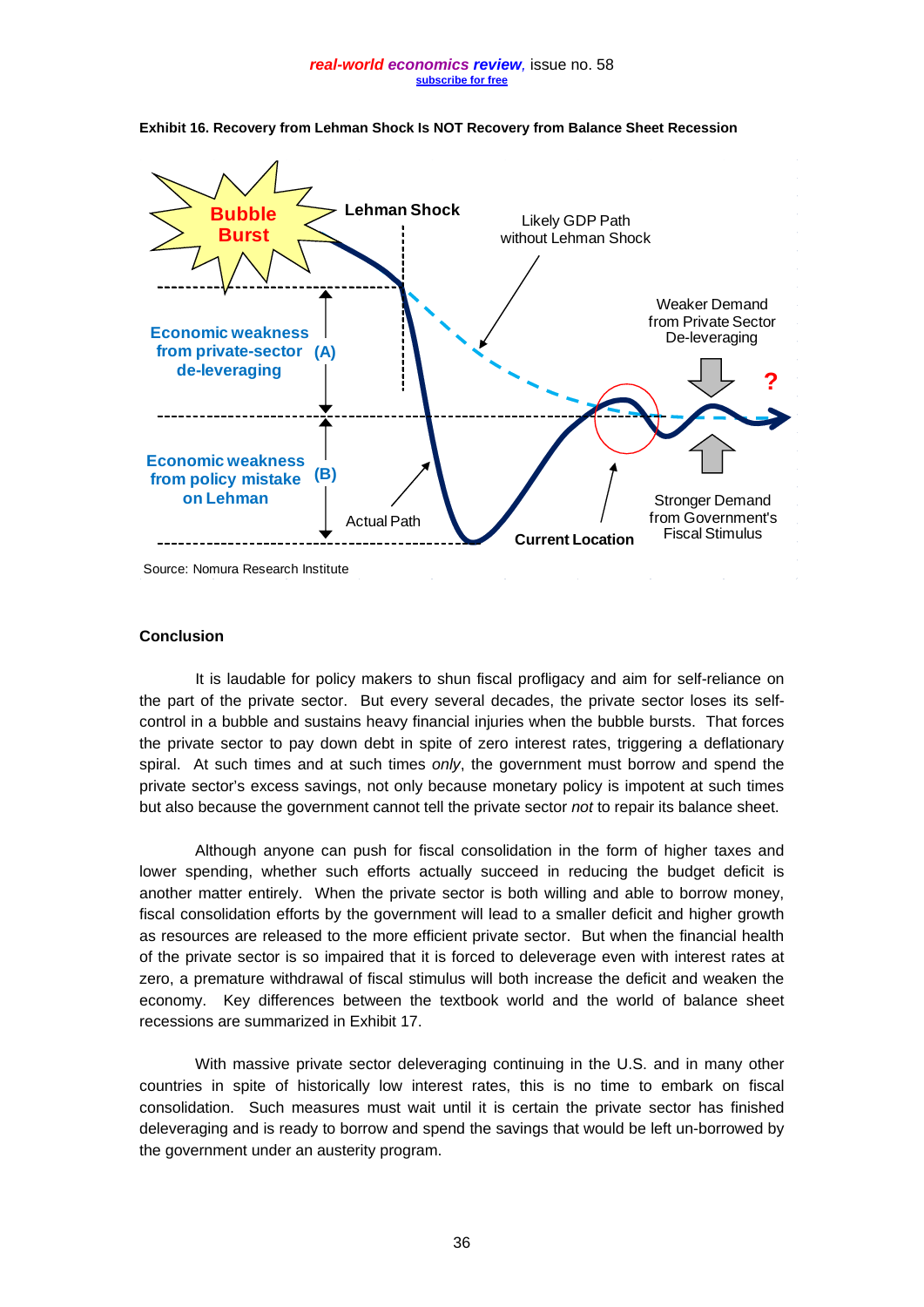

### **Exhibit 16. Recovery from Lehman Shock Is NOT Recovery from Balance Sheet Recession**

Source: Nomura Research Institute

### **Conclusion**

It is laudable for policy makers to shun fiscal profligacy and aim for self-reliance on the part of the private sector. But every several decades, the private sector loses its selfcontrol in a bubble and sustains heavy financial injuries when the bubble bursts. That forces the private sector to pay down debt in spite of zero interest rates, triggering a deflationary spiral. At such times and at such times *only*, the government must borrow and spend the private sector's excess savings, not only because monetary policy is impotent at such times but also because the government cannot tell the private sector *not* to repair its balance sheet.

Although anyone can push for fiscal consolidation in the form of higher taxes and lower spending, whether such efforts actually succeed in reducing the budget deficit is another matter entirely. When the private sector is both willing and able to borrow money, fiscal consolidation efforts by the government will lead to a smaller deficit and higher growth as resources are released to the more efficient private sector. But when the financial health of the private sector is so impaired that it is forced to deleverage even with interest rates at zero, a premature withdrawal of fiscal stimulus will both increase the deficit and weaken the economy. Key differences between the textbook world and the world of balance sheet recessions are summarized in Exhibit 17.

With massive private sector deleveraging continuing in the U.S. and in many other countries in spite of historically low interest rates, this is no time to embark on fiscal consolidation. Such measures must wait until it is certain the private sector has finished deleveraging and is ready to borrow and spend the savings that would be left un-borrowed by the government under an austerity program.